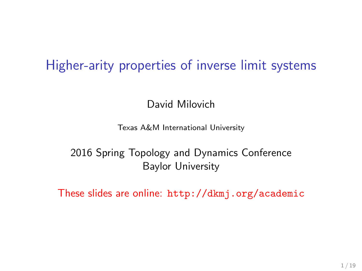# Higher-arity properties of inverse limit systems

David Milovich

Texas A&M International University

2016 Spring Topology and Dynamics Conference Baylor University

These slides are online: <http://dkmj.org/academic>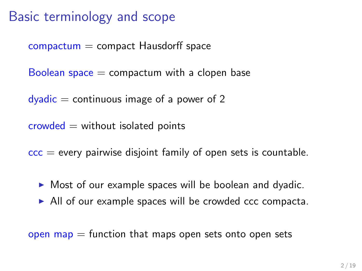# Basic terminology and scope

 $compactum = compact Hausdorff space$ 

Boolean space  $=$  compactum with a clopen base

 $dyadic = continuous image of a power of 2$ 

 $crowded = without isolated points$ 

 $\overline{ccc}$  = every pairwise disjoint family of open sets is countable.

- $\triangleright$  Most of our example spaces will be boolean and dyadic.
- $\triangleright$  All of our example spaces will be crowded ccc compacta.

open map  $=$  function that maps open sets onto open sets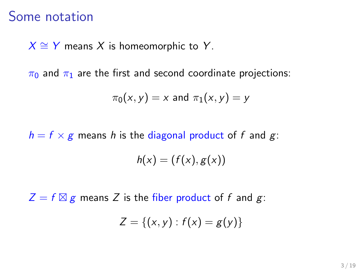## Some notation

 $X \cong Y$  means X is homeomorphic to Y.

 $\pi_0$  and  $\pi_1$  are the first and second coordinate projections:

$$
\pi_0(x,y)=x \text{ and } \pi_1(x,y)=y
$$

 $h = f \times g$  means h is the diagonal product of f and g:

$$
h(x) = (f(x), g(x))
$$

 $Z = f \boxtimes g$  means Z is the fiber product of f and g:

$$
Z = \{(x, y) : f(x) = g(y)\}
$$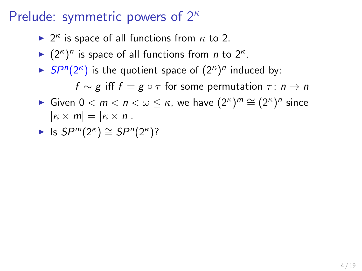- ►  $2^{\kappa}$  is space of all functions from  $\kappa$  to 2.
- $\blacktriangleright$   $(2^{\kappa})^n$  is space of all functions from *n* to  $2^{\kappa}$ .
- $\blacktriangleright$  SP<sup>n</sup>(2<sup> $\kappa$ </sup>) is the quotient space of  $(2^{\kappa})^n$  induced by:  $f \sim g$  iff  $f = g \circ \tau$  for some permutation  $\tau : n \to n$
- ► Given  $0 < m < n < \omega \leq \kappa$ , we have  $(2^{\kappa})^m \cong (2^{\kappa})^n$  since  $|\kappa \times m| = |\kappa \times n|.$
- ► Is  $SP^m(2^{\kappa}) \cong SP^n(2^{\kappa})$ ?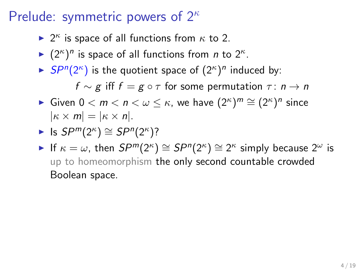- ►  $2^{\kappa}$  is space of all functions from  $\kappa$  to 2.
- $\blacktriangleright$   $(2^{\kappa})^n$  is space of all functions from *n* to  $2^{\kappa}$ .
- $\blacktriangleright$  SP<sup>n</sup>(2<sup> $\kappa$ </sup>) is the quotient space of  $(2^{\kappa})^n$  induced by:  $f \sim g$  iff  $f = g \circ \tau$  for some permutation  $\tau : n \to n$
- ► Given  $0 < m < n < \omega \leq \kappa$ , we have  $(2^{\kappa})^m \cong (2^{\kappa})^n$  since  $|\kappa \times m| = |\kappa \times n|.$

► Is 
$$
SP^m(2^{\kappa}) \cong SP^n(2^{\kappa})
$$
?

If  $\kappa = \omega$ , then  $SP^{m}(2^{\kappa}) \cong SP^{n}(2^{\kappa}) \cong 2^{\kappa}$  simply because  $2^{\omega}$  is up to homeomorphism the only second countable crowded Boolean space.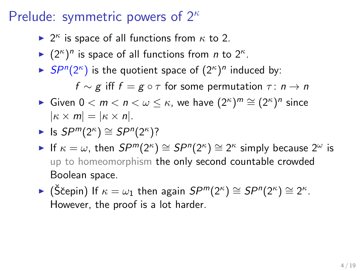- ►  $2^{\kappa}$  is space of all functions from  $\kappa$  to 2.
- $\blacktriangleright$   $(2^{\kappa})^n$  is space of all functions from *n* to  $2^{\kappa}$ .
- $\blacktriangleright$  SP<sup>n</sup>(2<sup> $\kappa$ </sup>) is the quotient space of  $(2^{\kappa})^n$  induced by:  $f \sim \varrho$  iff  $f = \varrho \circ \tau$  for some permutation  $\tau : n \to n$
- ► Given  $0 < m < n < \omega \leq \kappa$ , we have  $(2^{\kappa})^m \cong (2^{\kappa})^n$  since  $|\kappa \times m| = |\kappa \times n|.$

► Is 
$$
SP^m(2^{\kappa}) \cong SP^n(2^{\kappa})
$$
?

- If  $\kappa = \omega$ , then  $SP^{m}(2^{\kappa}) \cong SP^{n}(2^{\kappa}) \cong 2^{\kappa}$  simply because  $2^{\omega}$  is up to homeomorphism the only second countable crowded Boolean space.
- ► (Ščepin) If  $\kappa = \omega_1$  then again  $SP^m(2^{\kappa}) \cong SP^n(2^{\kappa}) \cong 2^{\kappa}$ . However, the proof is a lot harder.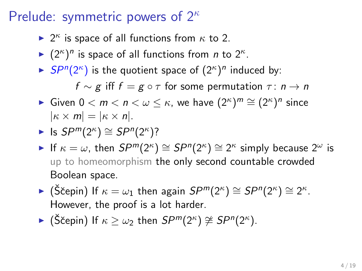- ►  $2^{\kappa}$  is space of all functions from  $\kappa$  to 2.
- $\blacktriangleright$   $(2^{\kappa})^n$  is space of all functions from *n* to  $2^{\kappa}$ .
- $\blacktriangleright$  SP<sup>n</sup>(2<sup> $\kappa$ </sup>) is the quotient space of  $(2^{\kappa})^n$  induced by:  $f \sim \varrho$  iff  $f = \varrho \circ \tau$  for some permutation  $\tau : n \to n$
- ► Given  $0 < m < n < \omega \leq \kappa$ , we have  $(2^{\kappa})^m \cong (2^{\kappa})^n$  since  $|\kappa \times m| = |\kappa \times n|.$

► Is 
$$
SP^m(2^{\kappa}) \cong SP^n(2^{\kappa})
$$
?

- If  $\kappa = \omega$ , then  $SP^{m}(2^{\kappa}) \cong SP^{n}(2^{\kappa}) \cong 2^{\kappa}$  simply because  $2^{\omega}$  is up to homeomorphism the only second countable crowded Boolean space.
- ► (Ščepin) If  $\kappa = \omega_1$  then again  $SP^m(2^{\kappa}) \cong SP^n(2^{\kappa}) \cong 2^{\kappa}$ . However, the proof is a lot harder.
- ► (Ščepin) If  $\kappa \geq \omega_2$  then  $SP^m(2^{\kappa}) \ncong SP^n(2^{\kappa})$ .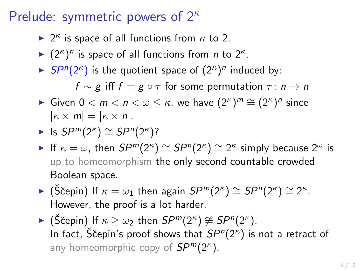- ►  $2^{\kappa}$  is space of all functions from  $\kappa$  to 2.
- $\blacktriangleright$   $(2^{\kappa})^n$  is space of all functions from *n* to  $2^{\kappa}$ .
- $\blacktriangleright$  SP<sup>n</sup>(2<sup> $\kappa$ </sup>) is the quotient space of  $(2^{\kappa})^n$  induced by:  $f \sim g$  iff  $f = g \circ \tau$  for some permutation  $\tau : n \to n$
- ► Given  $0 < m < n < \omega \leq \kappa$ , we have  $(2^{\kappa})^m \cong (2^{\kappa})^n$  since  $|\kappa \times m| = |\kappa \times n|.$

► Is 
$$
SP^m(2^{\kappa}) \cong SP^n(2^{\kappa})
$$
?

- If  $\kappa = \omega$ , then  $SP^{m}(2^{\kappa}) \cong SP^{n}(2^{\kappa}) \cong 2^{\kappa}$  simply because  $2^{\omega}$  is up to homeomorphism the only second countable crowded Boolean space.
- ► (Ščepin) If  $\kappa = \omega_1$  then again  $SP^m(2^{\kappa}) \cong SP^n(2^{\kappa}) \cong 2^{\kappa}$ . However, the proof is a lot harder.
- ► (Ščepin) If  $\kappa \geq \omega_2$  then  $SP^m(2^{\kappa}) \ncong SP^n(2^{\kappa})$ . In fact, S̆čepin's proof shows that  $SP^n(2^{\kappa})$  is not a retract of any homeomorphic copy of  $SP^m(2^{\kappa})$ .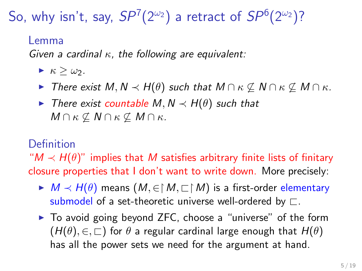So, why isn't, say,  $SP^7(2^{\omega_2})$  a retract of  $SP^6(2^{\omega_2})$ ?

#### Lemma

Given a cardinal  $\kappa$ , the following are equivalent:

- $\blacktriangleright$   $\kappa > \omega_2$ .
- $\triangleright$  There exist M, N  $\prec$  H( $\theta$ ) such that M ∩ κ ⊄ M ∩ κ ⊄ M ∩ κ.
- $\triangleright$  There exist countable M, N  $\prec$  H( $\theta$ ) such that  $M \cap \kappa \not\subseteq N \cap \kappa \not\subseteq M \cap \kappa$ .

### Definition

" $M \prec H(\theta)$ " implies that M satisfies arbitrary finite lists of finitary closure properties that I don't want to write down. More precisely:

- $\blacktriangleright M \prec H(\theta)$  means  $(M, \in \upharpoonright M, \sqsubset \upharpoonright M)$  is a first-order elementary submodel of a set-theoretic universe well-ordered by  $\Box$ .
- $\triangleright$  To avoid going beyond ZFC, choose a "universe" of the form  $(H(\theta), \in, \sqsubset)$  for  $\theta$  a regular cardinal large enough that  $H(\theta)$ has all the power sets we need for the argument at hand.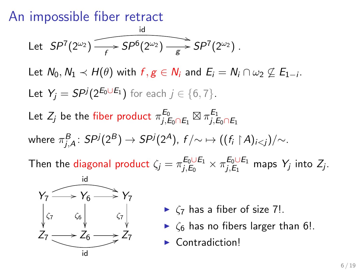## An impossible fiber retract

Let 
$$
SP^7(2^{\omega_2})
$$
  $\longrightarrow$   $SP^6(2^{\omega_2})$   $\longrightarrow$   $SP^7(2^{\omega_2})$ .

Let  $N_0, N_1 \prec H(\theta)$  with  $f, g \in N_i$  and  $E_i = N_i \cap \omega_2 \not\subseteq E_{1-i}$ . Let  $Y_j = SP^j(2^{E_0 \cup E_1})$  for each  $j \in \{6, 7\}$ .

Let  $Z_j$  be the fiber product  $\pi^{E_0}_{i,B}$  $^{E_0}_{j,E_0\cap E_1}\boxtimes \pi^{E_1}_{j,E}$  $j, E_0 \cap E_1$ where  $\pi^B_{j,A}\colon S P^j(2^B)\to S P^j(2^A)$ ,  $f/\!\!\sim\,\mapsto ((f_i\restriction A)_{i .$ 

Then the diagonal product  $\zeta_j = \pi_{j,E_0}^{E_0 \cup E_1}$  $\frac{E_0\cup E_1}{E_0}\times \pi_{j,E_1}^{E_0\cup E_1}$  $j, E_1$  maps  $Y_j$  into  $Z_j$ .



- $\blacktriangleright$   $\zeta$  has a fiber of size 7!.
- $\triangleright$   $\zeta_6$  has no fibers larger than 6!.
- $\blacktriangleright$  Contradiction!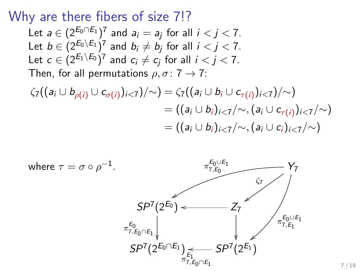Why are there fibers of size 7!?

Let  $a \in (2^{E_0 \cap E_1})^7$  and  $a_i = a_j$  for all  $i < j < 7$ . Let  $b \in (2^{E_0 \setminus E_1})^7$  and  $b_i \neq b_j$  for all  $i < j < 7$ . Let  $c\in (2^{E_1\setminus E_0})^7$  and  $c_i\neq c_j$  for all  $i< j< 7$ . Then, for all permutations  $\rho, \sigma: 7 \rightarrow 7$ :

$$
\zeta_7((a_i \cup b_{\rho(i)} \cup c_{\sigma(i)})_{i<7})/\sim) = \zeta_7((a_i \cup b_i \cup c_{\tau(i)})_{i<7})/\sim)
$$
  
= ((a\_i \cup b\_i)\_{i<7}/\sim, (a\_i \cup c\_{\tau(i)})\_{i<7}/\sim)  
= ((a\_i \cup b\_i)\_{i<7}/\sim, (a\_i \cup c\_i)\_{i<7}/\sim)

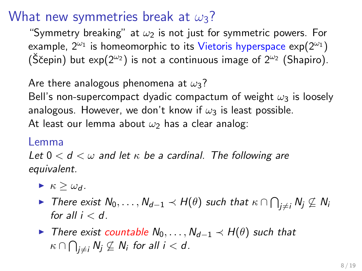## What new symmetries break at  $\omega_3$ ?

"Symmetry breaking" at  $\omega_2$  is not just for symmetric powers. For example,  $2^{\omega_1}$  is homeomorphic to its Vietoris hyperspace  $\exp(2^{\omega_1})$ (Ščepin) but exp( $2^{\omega_2}$ ) is not a continuous image of  $2^{\omega_2}$  (Shapiro).

Are there analogous phenomena at  $\omega_3$ ?

Bell's non-supercompact dyadic compactum of weight  $\omega_3$  is loosely analogous. However, we don't know if  $\omega_3$  is least possible. At least our lemma about  $\omega_2$  has a clear analog:

#### Lemma

Let  $0 < d < \omega$  and let  $\kappa$  be a cardinal. The following are equivalent.

- $\blacktriangleright$   $\kappa > \omega_d$ .
- ► There exist  $\mathsf{N}_0,\ldots,\mathsf{N}_{d-1}\prec \mathsf{H}(\theta)$  such that  $\kappa\cap \bigcap_{j\neq i}\mathsf{N}_j\not\subseteq \mathsf{N}_i$ for all  $i < d$ .
- $\triangleright$  There exist countable  $N_0, \ldots, N_{d-1} \prec H(\theta)$  such that  $\kappa \cap \bigcap_{j \neq i} \mathit{N}_j \not\subseteq \mathit{N}_i$  for all  $i < d$ .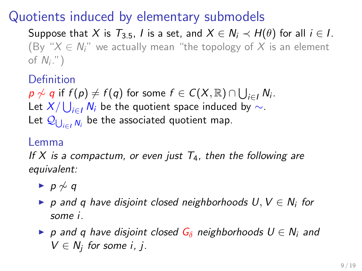# Quotients induced by elementary submodels

Suppose that X is  $T_{3.5}$ , I is a set, and  $X \in N_i \prec H(\theta)$  for all  $i \in I$ . (By " $X \in N$ " we actually mean "the topology of X is an element of  $N_i$ .")

**Definition** 

 $p\not\sim q$  if  $f(p)\neq f(q)$  for some  $f\in C(X,\mathbb{R})\cap\bigcup_{i\in I}N_i$ . Let  $X/\bigcup_{i\in I}N_i$  be the quotient space induced by  $\sim$ . Let  $\mathcal{Q}_{\bigcup_{i\in I}N_i}$  be the associated quotient map.

#### Lemma

If X is a compactum, or even just  $T_4$ , then the following are equivalent:

- $\rightarrow p \not\sim q$
- ▶ p and q have disjoint closed neighborhoods  $U, V \in N_i$  for some i.
- $\triangleright$  p and q have disjoint closed  $G_\delta$  neighborhoods  $U \in N_i$  and  $V \in N_j$  for some i, j.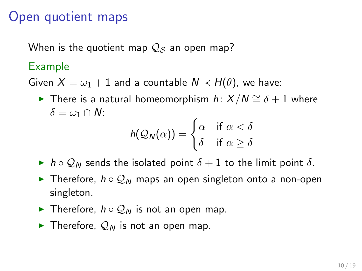## Open quotient maps

When is the quotient map  $Q_S$  an open map?

### Example

Given  $X = \omega_1 + 1$  and a countable  $N \prec H(\theta)$ , we have:

**►** There is a natural homeomorphism  $h: X/N \cong \delta + 1$  where  $\delta = \omega_1 \cap N$ :

$$
h(\mathcal{Q}_N(\alpha)) = \begin{cases} \alpha & \text{if } \alpha < \delta \\ \delta & \text{if } \alpha \geq \delta \end{cases}
$$

- In h o  $\mathcal{Q}_N$  sends the isolated point  $\delta + 1$  to the limit point  $\delta$ .
- **►** Therefore,  $h \circ Q_N$  maps an open singleton onto a non-open singleton.
- **►** Therefore,  $h \circ Q_N$  is not an open map.
- $\blacktriangleright$  Therefore,  $\mathcal{Q}_N$  is not an open map.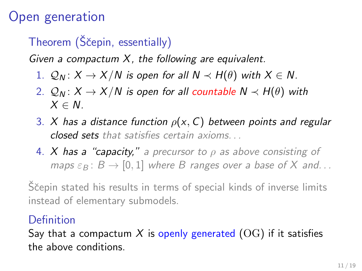# Open generation

# Theorem (Ščepin, essentially)

Given a compactum  $X$ , the following are equivalent.

- 1.  $Q_N$ :  $X \to X/N$  is open for all  $N \prec H(\theta)$  with  $X \in N$ .
- 2.  $Q_N$ :  $X \to X/N$  is open for all countable  $N \prec H(\theta)$  with  $X \in N$
- 3. X has a distance function  $\rho(x, C)$  between points and regular closed sets that satisfies certain axioms. . .
- 4. X has a "capacity," a precursor to  $\rho$  as above consisting of maps  $\varepsilon_B$ :  $B \to [0, 1]$  where B ranges over a base of X and...

Ščepin stated his results in terms of special kinds of inverse limits instead of elementary submodels.

### Definition

Say that a compactum X is openly generated  $(OG)$  if it satisfies the above conditions.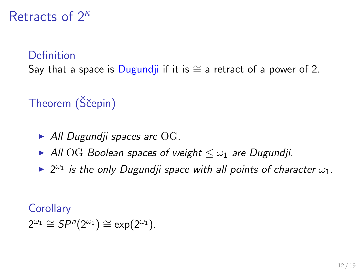## Retracts of  $2^k$

### **Definition**

Say that a space is Dugundji if it is  $\cong$  a retract of a power of 2.

# Theorem (Ščepin)

- $\blacktriangleright$  All Dugundji spaces are OG.
- All OG Boolean spaces of weight  $\leq \omega_1$  are Dugundji.
- $\blacktriangleright$  2<sup> $\omega_1$ </sup> is the only Dugundji space with all points of character  $\omega_1$ .

### **Corollary**

 $2^{\omega_1} \cong SP^n(2^{\omega_1}) \cong \exp(2^{\omega_1}).$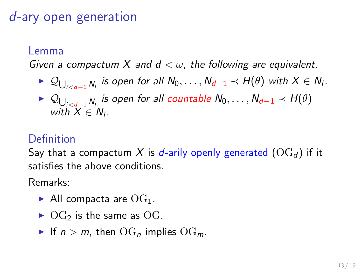# d-ary open generation

#### Lemma

Given a compactum X and  $d < \omega$ , the following are equivalent.

- ►  $\mathcal{Q}_{\bigcup_{i is open for all  $N_0,\ldots,N_{d-1}\prec H(\theta)$  with  $X\in N_i.$$
- ►  $\mathcal{Q}_{\bigcup_{i< d-1} N_i}$  is open for all countable  $N_0, \ldots, N_{d-1} \prec H(\theta)$ with  $X \in N_i$ .

### Definition

Say that a compactum X is d-arily openly generated  $(\text{OG}_d)$  if it satisfies the above conditions.

Remarks:

- All compacta are  $OG_1$ .
- $\triangleright$  OG<sub>2</sub> is the same as OG.
- If  $n > m$ , then  $\text{OG}_n$  implies  $\text{OG}_m$ .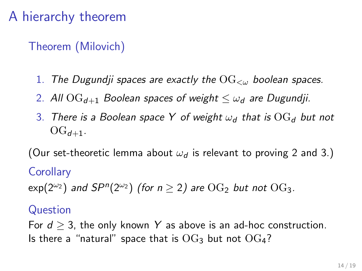# A hierarchy theorem

Theorem (Milovich)

- 1. The Dugundji spaces are exactly the  $\overline{\text{OG}}_{\leq w}$  boolean spaces.
- <span id="page-17-0"></span>2. All  $\text{OG}_{d+1}$  Boolean spaces of weight  $\lt \omega_d$  are Dugundji.
- <span id="page-17-1"></span>3. There is a Boolean space Y of weight  $\omega_d$  that is  $\text{OG}_d$  but not  $OG_{d+1}$ .

(Our set-theoretic lemma about  $\omega_d$  is relevant to proving [2](#page-17-0) and [3.](#page-17-1))

### **Corollary**

 $\mathsf{exp}(2^{\omega_2})$  and  $\mathsf{S}P^n(2^{\omega_2})$  (for  $n\geq 2)$  are  $\mathrm{OG}_2$  but not  $\mathrm{OG}_3$ .

### Question

For  $d \geq 3$ , the only known Y as above is an ad-hoc construction. Is there a "natural" space that is  $OG_3$  but not  $OG_4$ ?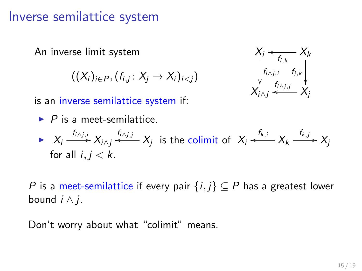## Inverse semilattice system

An inverse limit system

$$
((X_i)_{i\in P}, (f_{i,j}\colon X_j\to X_i)_{i
$$



is an inverse semilattice system if:

\n- $$
P
$$
 is a meet-semilattice.
\n- $X_i \xrightarrow{f_{i \wedge j,i}} X_{i \wedge j} \xrightarrow{f_{i \wedge j,j}} X_i$  is the colimit of  $X$ .
\n

$$
\triangleright \quad X_i \xrightarrow{f_{i \wedge j,i}} X_{i \wedge j} \xleftarrow{f_{i \wedge j,j}} X_j \text{ is the colimit of } X_i \xleftarrow{f_{k,i}} X_k \xrightarrow{f_{k,j}} X_j
$$
\n
$$
\text{for all } i, j < k.
$$

P is a meet-semilattice if every pair  $\{i, j\} \subseteq P$  has a greatest lower bound  $i \wedge j$ .

Don't worry about what "colimit" means.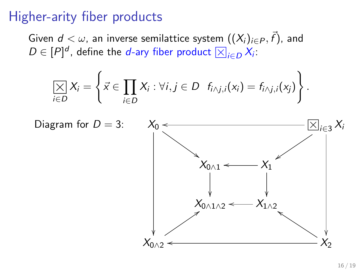## Higher-arity fiber products

Given  $d<\omega,$  an inverse semilattice system  $((X_i)_{i\in P},\vec{f}),$  and Given  $a < \omega$ , an inverse semilattice system  $((x_i)_{i \in D}$ <br> $D \in [P]^d$ , define the *d*-ary fiber product  $\boxtimes_{i \in D} X_i$ :

$$
\underset{i\in D}{\left[\times\right]}X_i=\left\{\vec{x}\in\underset{i\in D}{\prod}X_i:\forall i,j\in D\ f_{i\wedge j,i}(x_i)=f_{i\wedge j,i}(x_j)\right\}.
$$

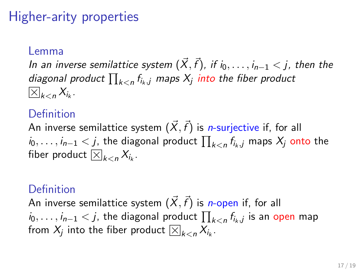# Higher-arity properties

#### Lemma

In an inverse semilattice system  $(\vec{X},\vec{f})$ , if  $i_0,\ldots,i_{n-1} < j$ , then the diagonal product  $\prod_{k < n} f_{i_k,j}$  maps  $X_j$  into the fiber product  $_{k< n} X_{i_k}$ .

### Definition

An inverse semilattice system  $(\vec{X},\vec{f})$  is *n*-surjective if, for all  $i_0,\ldots,i_{n-1} < j$ , the diagonal product  $\prod_{k < n} f_{i_k,j}$  maps  $X_j$  onto the  $t_0, \ldots, t_{n-1} < J$ , the diagority of  $\sum_{k < n} X_{i_k}$ .

### Definition

An inverse semilattice system  $(\vec{X},\vec{f})$  is *n*-open if, for all  $i_0, \ldots, i_{n-1} < j$ , the diagonal product  $\prod_{k < n} f_{i_k,j}$  is an open map  $t_0,\ldots,t_{n-1}<$  , the diagonal product  $\prod_k$  from  $X_j$  into the fiber product  $\boxtimes_{k < n} X_{i_k}$ .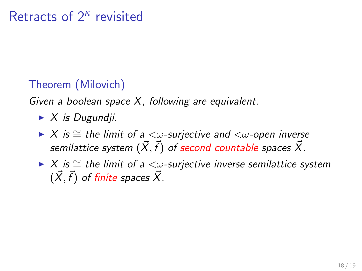## Theorem (Milovich)

Given a boolean space  $X$ , following are equivalent.

- $\blacktriangleright$  X is Dugundji.
- $\triangleright$  X is  $\cong$  the limit of a  $\lt\omega$ -surjective and  $\lt\omega$ -open inverse semilattice system  $(\vec{X},\vec{f})$  of second countable spaces  $\vec{X}.$
- $\triangleright$  X is  $\cong$  the limit of a  $\lt\omega$ -surjective inverse semilattice system  $(\vec{X}, \vec{f})$  of finite spaces  $\vec{X}$ .